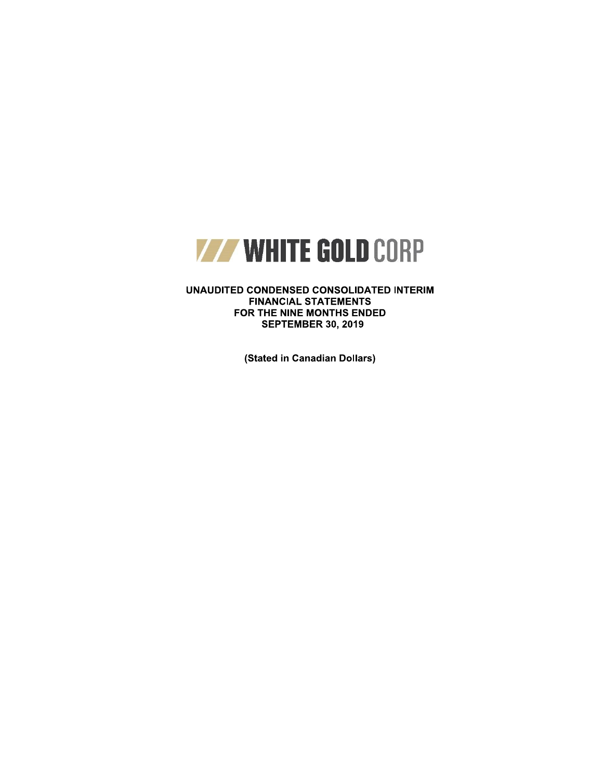

UNAUDITED CONDENSED CONSOLIDATED INTERIM **FINANCIAL STATEMENTS** FOR THE NINE MONTHS ENDED **SEPTEMBER 30, 2019** 

(Stated in Canadian Dollars)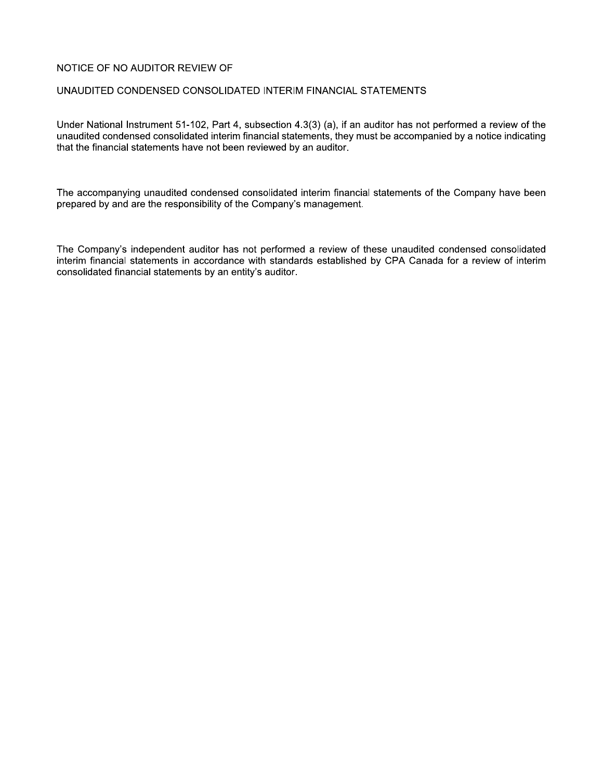# NOTICE OF NO AUDITOR REVIEW OF

# UNAUDITED CONDENSED CONSOLIDATED INTERIM FINANCIAL STATEMENTS

Under National Instrument 51-102, Part 4, subsection 4.3(3) (a), if an auditor has not performed a review of the unaudited condensed consolidated interim financial statements, they must be accompanied by a notice indicating that the financial statements have not been reviewed by an auditor.

The accompanying unaudited condensed consolidated interim financial statements of the Company have been prepared by and are the responsibility of the Company's management.

The Company's independent auditor has not performed a review of these unaudited condensed consolidated interim financial statements in accordance with standards established by CPA Canada for a review of interim consolidated financial statements by an entity's auditor.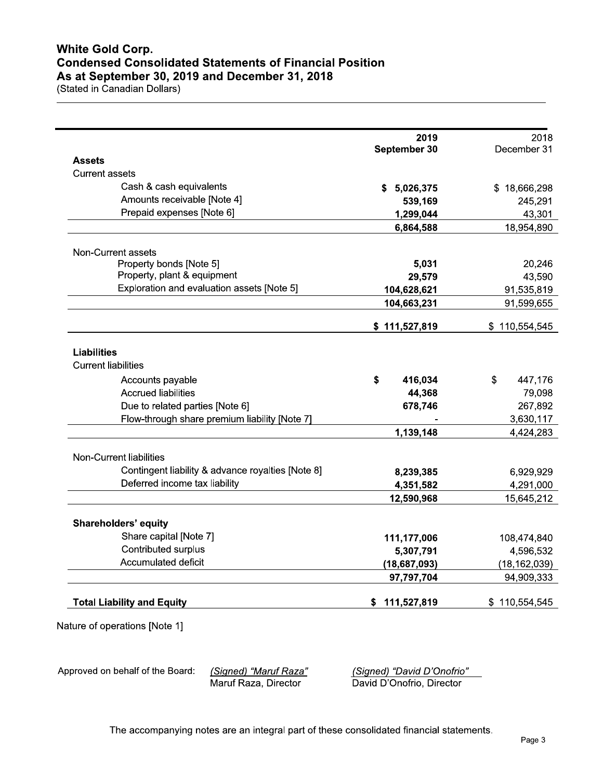| 2018           | 2019           |                                                   |
|----------------|----------------|---------------------------------------------------|
| December 31    | September 30   | <b>Assets</b>                                     |
|                |                | <b>Current assets</b>                             |
|                | S              | Cash & cash equivalents                           |
| \$18,666,298   | 5,026,375      | Amounts receivable [Note 4]                       |
| 245,291        | 539,169        | Prepaid expenses [Note 6]                         |
| 43,301         | 1,299,044      |                                                   |
| 18,954,890     | 6,864,588      |                                                   |
|                |                | Non-Current assets                                |
| 20,246         | 5,031          | Property bonds [Note 5]                           |
| 43,590         | 29,579         | Property, plant & equipment                       |
| 91,535,819     | 104,628,621    | Exploration and evaluation assets [Note 5]        |
| 91,599,655     | 104,663,231    |                                                   |
|                |                |                                                   |
| \$110,554,545  | \$111,527,819  |                                                   |
|                |                |                                                   |
|                |                | <b>Liabilities</b>                                |
|                |                | <b>Current liabilities</b>                        |
| \$<br>447,176  | \$<br>416,034  | Accounts payable                                  |
| 79,098         | 44,368         | <b>Accrued liabilities</b>                        |
| 267,892        | 678,746        | Due to related parties [Note 6]                   |
| 3,630,117      |                | Flow-through share premium liability [Note 7]     |
| 4,424,283      | 1,139,148      |                                                   |
|                |                | Non-Current liabilities                           |
|                |                | Contingent liability & advance royalties [Note 8] |
| 6,929,929      | 8,239,385      | Deferred income tax liability                     |
| 4,291,000      | 4,351,582      |                                                   |
| 15,645,212     | 12,590,968     |                                                   |
|                |                | <b>Shareholders' equity</b>                       |
| 108,474,840    | 111,177,006    | Share capital [Note 7]                            |
| 4,596,532      | 5,307,791      | Contributed surplus                               |
| (18, 162, 039) | (18, 687, 093) | Accumulated deficit                               |
| 94,909,333     | 97,797,704     |                                                   |
| \$110,554,545  | \$111,527,819  | <b>Total Liability and Equity</b>                 |

Approved on behalf of the Board:

(Signed) "Maruf Raza" Maruf Raza, Director

(Signed) "David D'Onofrio" David D'Onofrio, Director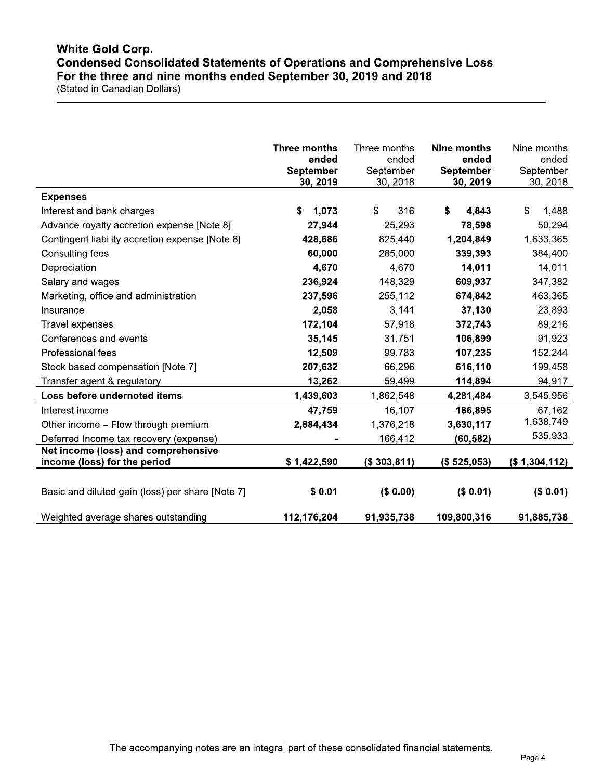# **White Gold Corp. Condensed Consolidated Statements of Operations and Comprehensive Loss** For the three and nine months ended September 30, 2019 and 2018

(Stated in Canadian Dollars)

|                                                                     | Three months<br>ended<br><b>September</b><br>30, 2019 | Three months<br>ended<br>September<br>30, 2018 | <b>Nine months</b><br>ended<br><b>September</b><br>30, 2019 | Nine months<br>ended<br>September<br>30, 2018 |
|---------------------------------------------------------------------|-------------------------------------------------------|------------------------------------------------|-------------------------------------------------------------|-----------------------------------------------|
| <b>Expenses</b>                                                     |                                                       |                                                |                                                             |                                               |
| Interest and bank charges                                           | 1,073<br>S.                                           | \$<br>316                                      | \$<br>4,843                                                 | \$<br>1,488                                   |
| Advance royalty accretion expense [Note 8]                          | 27,944                                                | 25,293                                         | 78,598                                                      | 50,294                                        |
| Contingent liability accretion expense [Note 8]                     | 428,686                                               | 825,440                                        | 1,204,849                                                   | 1,633,365                                     |
| Consulting fees                                                     | 60,000                                                | 285,000                                        | 339,393                                                     | 384,400                                       |
| Depreciation                                                        | 4,670                                                 | 4,670                                          | 14,011                                                      | 14,011                                        |
| Salary and wages                                                    | 236,924                                               | 148,329                                        | 609,937                                                     | 347,382                                       |
| Marketing, office and administration                                | 237,596                                               | 255,112                                        | 674,842                                                     | 463,365                                       |
| Insurance                                                           | 2,058                                                 | 3,141                                          | 37,130                                                      | 23,893                                        |
| Travel expenses                                                     | 172,104                                               | 57,918                                         | 372,743                                                     | 89,216                                        |
| Conferences and events                                              | 35,145                                                | 31,751                                         | 106,899                                                     | 91,923                                        |
| Professional fees                                                   | 12,509                                                | 99,783                                         | 107,235                                                     | 152,244                                       |
| Stock based compensation [Note 7]                                   | 207,632                                               | 66,296                                         | 616,110                                                     | 199,458                                       |
| Transfer agent & regulatory                                         | 13,262                                                | 59,499                                         | 114,894                                                     | 94,917                                        |
| Loss before undernoted items                                        | 1,439,603                                             | 1,862,548                                      | 4,281,484                                                   | 3,545,956                                     |
| Interest income                                                     | 47,759                                                | 16,107                                         | 186,895                                                     | 67,162                                        |
| Other income - Flow through premium                                 | 2,884,434                                             | 1,376,218                                      | 3,630,117                                                   | 1,638,749                                     |
| Deferred Income tax recovery (expense)                              |                                                       | 166,412                                        | (60,582)                                                    | 535,933                                       |
| Net income (loss) and comprehensive<br>income (loss) for the period | \$1,422,590                                           | (\$303,811)                                    | (\$525,053)                                                 | (\$1,304,112)                                 |
| Basic and diluted gain (loss) per share [Note 7]                    | \$0.01                                                | (\$0.00)                                       | (\$0.01)                                                    | (\$0.01)                                      |
| Weighted average shares outstanding                                 | 112,176,204                                           | 91,935,738                                     | 109,800,316                                                 | 91,885,738                                    |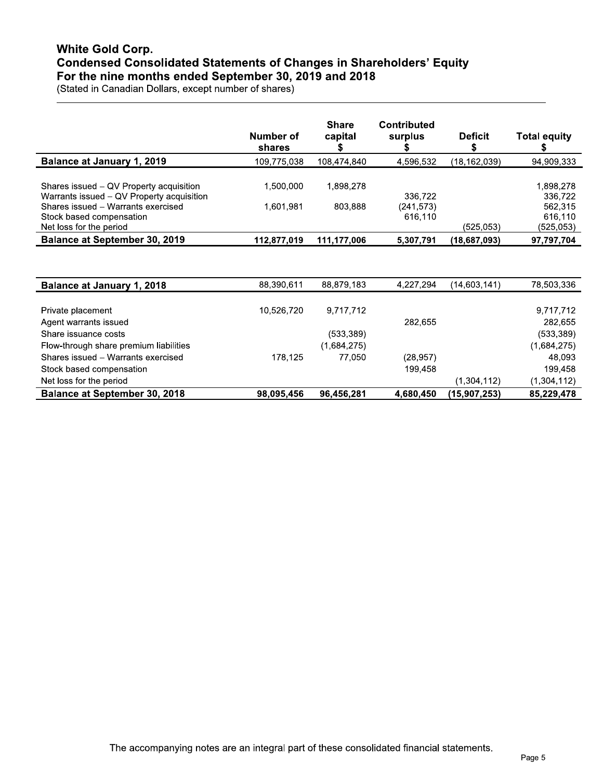# **White Gold Corp. Condensed Consolidated Statements of Changes in Shareholders' Equity** For the nine months ended September 30, 2019 and 2018

(Stated in Canadian Dollars, except number of shares)

|                                                                                           | Number of<br>shares | <b>Share</b><br>capital | <b>Contributed</b><br>surplus | <b>Deficit</b> | <b>Total equity</b>              |
|-------------------------------------------------------------------------------------------|---------------------|-------------------------|-------------------------------|----------------|----------------------------------|
| <b>Balance at January 1, 2019</b>                                                         | 109,775,038         | 108,474,840             | 4,596,532                     | (18, 162, 039) | 94,909,333                       |
| Shares issued – QV Property acquisition<br>Warrants issued - QV Property acquisition      | 1,500,000           | 1,898,278               | 336,722                       |                | 1,898,278<br>336,722             |
| Shares issued - Warrants exercised<br>Stock based compensation<br>Net loss for the period | 1.601.981           | 803,888                 | (241, 573)<br>616.110         | (525.053)      | 562,315<br>616.110<br>(525, 053) |
| <b>Balance at September 30, 2019</b>                                                      | 112,877,019         | 111,177,006             | 5,307,791                     | (18,687,093)   | 97,797,704                       |

| <b>Balance at January 1, 2018</b>      | 88,390,611 | 88,879,183  | 4,227,294 | (14,603,141)   | 78,503,336  |
|----------------------------------------|------------|-------------|-----------|----------------|-------------|
|                                        |            |             |           |                |             |
| Private placement                      | 10.526.720 | 9,717,712   |           |                | 9,717,712   |
| Agent warrants issued                  |            |             | 282.655   |                | 282,655     |
| Share issuance costs                   |            | (533, 389)  |           |                | (533, 389)  |
| Flow-through share premium liabilities |            | (1,684,275) |           |                | (1,684,275) |
| Shares issued - Warrants exercised     | 178,125    | 77,050      | (28, 957) |                | 48,093      |
| Stock based compensation               |            |             | 199,458   |                | 199,458     |
| Net loss for the period                |            |             |           | (1,304,112)    | (1,304,112) |
| <b>Balance at September 30, 2018</b>   | 98,095,456 | 96,456,281  | 4,680,450 | (15, 907, 253) | 85,229,478  |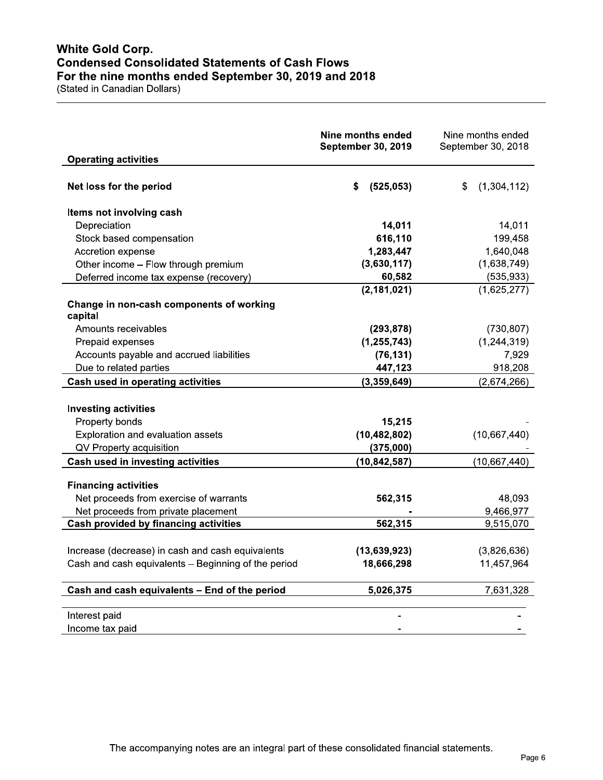# **White Gold Corp. Condensed Consolidated Statements of Cash Flows** For the nine months ended September 30, 2019 and 2018

(Stated in Canadian Dollars)

|                                                                                                         | Nine months ended<br><b>September 30, 2019</b> | Nine months ended<br>September 30, 2018 |
|---------------------------------------------------------------------------------------------------------|------------------------------------------------|-----------------------------------------|
| <b>Operating activities</b>                                                                             |                                                |                                         |
| Net loss for the period                                                                                 | S<br>(525, 053)                                | (1,304,112)<br>\$.                      |
| Items not involving cash                                                                                |                                                |                                         |
| Depreciation                                                                                            | 14,011                                         | 14,011                                  |
| Stock based compensation                                                                                | 616,110                                        | 199,458                                 |
| Accretion expense                                                                                       | 1,283,447                                      | 1,640,048                               |
| Other income - Flow through premium                                                                     | (3,630,117)                                    | (1,638,749)                             |
| Deferred income tax expense (recovery)                                                                  | 60,582                                         | (535, 933)                              |
|                                                                                                         | (2, 181, 021)                                  | (1,625,277)                             |
| Change in non-cash components of working<br>capital                                                     |                                                |                                         |
| Amounts receivables                                                                                     | (293, 878)                                     | (730, 807)                              |
| Prepaid expenses                                                                                        | (1, 255, 743)                                  | (1, 244, 319)                           |
| Accounts payable and accrued liabilities                                                                | (76, 131)                                      | 7,929                                   |
| Due to related parties                                                                                  | 447,123                                        | 918,208                                 |
| Cash used in operating activities                                                                       | (3,359,649)                                    | (2,674,266)                             |
| <b>Investing activities</b><br>Property bonds<br>Exploration and evaluation assets                      | 15,215<br>(10, 482, 802)                       | (10,667,440)                            |
| QV Property acquisition                                                                                 | (375,000)                                      |                                         |
| Cash used in investing activities                                                                       | (10, 842, 587)                                 | (10, 667, 440)                          |
| <b>Financing activities</b>                                                                             |                                                |                                         |
| Net proceeds from exercise of warrants                                                                  | 562,315                                        | 48,093                                  |
| Net proceeds from private placement                                                                     |                                                | 9,466,977                               |
| <b>Cash provided by financing activities</b>                                                            | 562,315                                        | 9,515,070                               |
| Increase (decrease) in cash and cash equivalents<br>Cash and cash equivalents - Beginning of the period | (13,639,923)<br>18,666,298                     | (3,826,636)<br>11,457,964               |
| Cash and cash equivalents - End of the period                                                           | 5,026,375                                      | 7,631,328                               |
| Interest paid<br>Income tax paid                                                                        |                                                |                                         |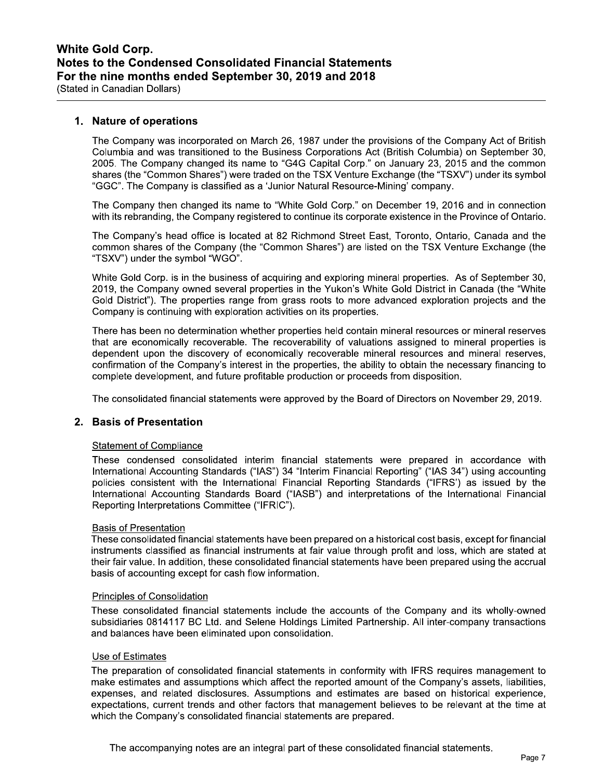# 1. Nature of operations

The Company was incorporated on March 26, 1987 under the provisions of the Company Act of British Columbia and was transitioned to the Business Corporations Act (British Columbia) on September 30, 2005. The Company changed its name to "G4G Capital Corp." on January 23, 2015 and the common shares (the "Common Shares") were traded on the TSX Venture Exchange (the "TSXV") under its symbol "GGC". The Company is classified as a 'Junior Natural Resource-Mining' company.

The Company then changed its name to "White Gold Corp." on December 19, 2016 and in connection with its rebranding, the Company registered to continue its corporate existence in the Province of Ontario.

The Company's head office is located at 82 Richmond Street East, Toronto, Ontario, Canada and the common shares of the Company (the "Common Shares") are listed on the TSX Venture Exchange (the "TSXV") under the symbol "WGO".

White Gold Corp. is in the business of acquiring and exploring mineral properties. As of September 30, 2019, the Company owned several properties in the Yukon's White Gold District in Canada (the "White Gold District"). The properties range from grass roots to more advanced exploration projects and the Company is continuing with exploration activities on its properties.

There has been no determination whether properties held contain mineral resources or mineral reserves that are economically recoverable. The recoverability of valuations assigned to mineral properties is dependent upon the discovery of economically recoverable mineral resources and mineral reserves, confirmation of the Company's interest in the properties, the ability to obtain the necessary financing to complete development, and future profitable production or proceeds from disposition.

The consolidated financial statements were approved by the Board of Directors on November 29, 2019.

# 2. Basis of Presentation

### **Statement of Compliance**

These condensed consolidated interim financial statements were prepared in accordance with International Accounting Standards ("IAS") 34 "Interim Financial Reporting" ("IAS 34") using accounting policies consistent with the International Financial Reporting Standards ("IFRS') as issued by the International Accounting Standards Board ("IASB") and interpretations of the International Financial Reporting Interpretations Committee ("IFRIC").

### **Basis of Presentation**

These consolidated financial statements have been prepared on a historical cost basis, except for financial instruments classified as financial instruments at fair value through profit and loss, which are stated at their fair value. In addition, these consolidated financial statements have been prepared using the accrual basis of accounting except for cash flow information.

#### **Principles of Consolidation**

These consolidated financial statements include the accounts of the Company and its wholly-owned subsidiaries 0814117 BC Ltd. and Selene Holdings Limited Partnership. All inter-company transactions and balances have been eliminated upon consolidation.

#### Use of Estimates

The preparation of consolidated financial statements in conformity with IFRS requires management to make estimates and assumptions which affect the reported amount of the Company's assets, liabilities, expenses, and related disclosures. Assumptions and estimates are based on historical experience, expectations, current trends and other factors that management believes to be relevant at the time at which the Company's consolidated financial statements are prepared.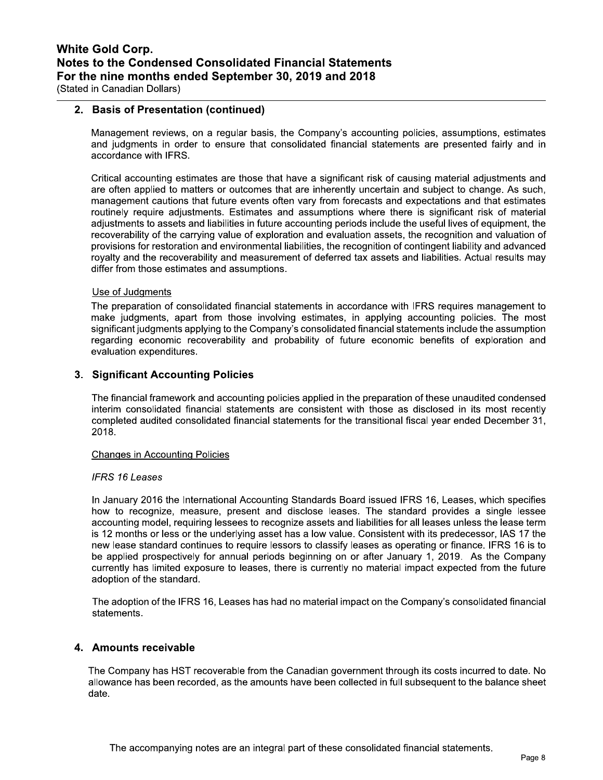# 2. Basis of Presentation (continued)

Management reviews, on a regular basis, the Company's accounting policies, assumptions, estimates and judgments in order to ensure that consolidated financial statements are presented fairly and in accordance with IFRS.

Critical accounting estimates are those that have a significant risk of causing material adjustments and are often applied to matters or outcomes that are inherently uncertain and subject to change. As such, management cautions that future events often vary from forecasts and expectations and that estimates routinely require adjustments. Estimates and assumptions where there is significant risk of material adjustments to assets and liabilities in future accounting periods include the useful lives of equipment, the recoverability of the carrying value of exploration and evaluation assets, the recognition and valuation of provisions for restoration and environmental liabilities, the recognition of contingent liability and advanced royalty and the recoverability and measurement of deferred tax assets and liabilities. Actual results may differ from those estimates and assumptions.

## Use of Judgments

The preparation of consolidated financial statements in accordance with IFRS requires management to make judgments, apart from those involving estimates, in applying accounting policies. The most significant judgments applying to the Company's consolidated financial statements include the assumption regarding economic recoverability and probability of future economic benefits of exploration and evaluation expenditures.

# 3. Significant Accounting Policies

The financial framework and accounting policies applied in the preparation of these unaudited condensed interim consolidated financial statements are consistent with those as disclosed in its most recently completed audited consolidated financial statements for the transitional fiscal year ended December 31, 2018.

#### **Changes in Accounting Policies**

### **IFRS 16 Leases**

In January 2016 the International Accounting Standards Board issued IFRS 16, Leases, which specifies how to recognize, measure, present and disclose leases. The standard provides a single lessee accounting model, requiring lessees to recognize assets and liabilities for all leases unless the lease term is 12 months or less or the underlying asset has a low value. Consistent with its predecessor, IAS 17 the new lease standard continues to require lessors to classify leases as operating or finance. IFRS 16 is to be applied prospectively for annual periods beginning on or after January 1, 2019. As the Company currently has limited exposure to leases, there is currently no material impact expected from the future adoption of the standard.

The adoption of the IFRS 16, Leases has had no material impact on the Company's consolidated financial statements.

### 4. Amounts receivable

The Company has HST recoverable from the Canadian government through its costs incurred to date. No allowance has been recorded, as the amounts have been collected in full subsequent to the balance sheet date.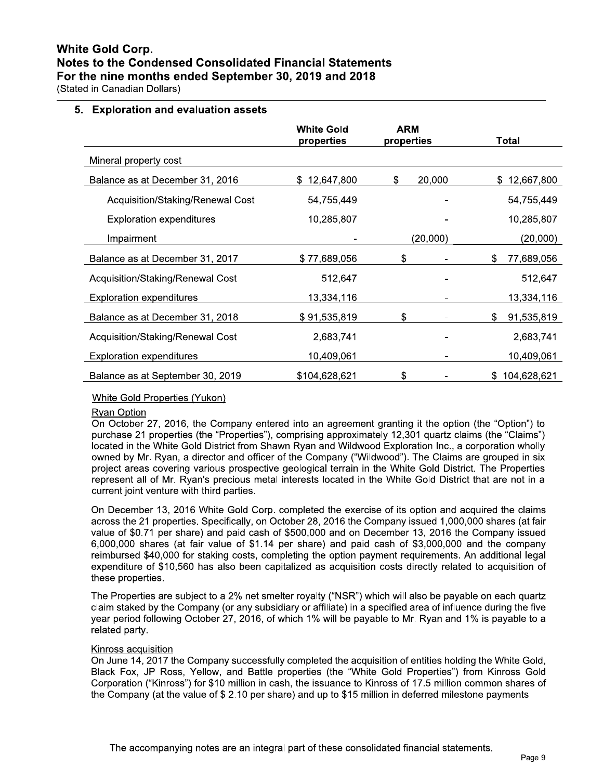**White Gold Corp.** Notes to the Condensed Consolidated Financial Statements For the nine months ended September 30, 2019 and 2018

(Stated in Canadian Dollars)

# 5. Exploration and evaluation assets

|                                  | <b>White Gold</b><br>properties | <b>ARM</b><br>properties | Total             |
|----------------------------------|---------------------------------|--------------------------|-------------------|
| Mineral property cost            |                                 |                          |                   |
| Balance as at December 31, 2016  | 12,647,800<br>S.                | 20,000<br>\$             | 12,667,800<br>\$. |
| Acquisition/Staking/Renewal Cost | 54,755,449                      |                          | 54,755,449        |
| <b>Exploration expenditures</b>  | 10,285,807                      |                          | 10,285,807        |
| Impairment                       |                                 | (20,000)                 | (20,000)          |
| Balance as at December 31, 2017  | \$77,689,056                    | \$                       | 77,689,056<br>\$  |
| Acquisition/Staking/Renewal Cost | 512,647                         |                          | 512,647           |
| <b>Exploration expenditures</b>  | 13,334,116                      |                          | 13,334,116        |
| Balance as at December 31, 2018  | \$91,535,819                    | \$                       | 91,535,819<br>\$  |
| Acquisition/Staking/Renewal Cost | 2,683,741                       |                          | 2,683,741         |
| <b>Exploration expenditures</b>  | 10,409,061                      |                          | 10,409,061        |
| Balance as at September 30, 2019 | \$104,628,621                   | \$                       | 104,628,621<br>S. |

### White Gold Properties (Yukon)

#### Ryan Option

On October 27, 2016, the Company entered into an agreement granting it the option (the "Option") to purchase 21 properties (the "Properties"), comprising approximately 12,301 quartz claims (the "Claims") located in the White Gold District from Shawn Ryan and Wildwood Exploration Inc., a corporation wholly owned by Mr. Ryan, a director and officer of the Company ("Wildwood"). The Claims are grouped in six project areas covering various prospective geological terrain in the White Gold District. The Properties represent all of Mr. Ryan's precious metal interests located in the White Gold District that are not in a current joint venture with third parties.

On December 13, 2016 White Gold Corp. completed the exercise of its option and acquired the claims across the 21 properties. Specifically, on October 28, 2016 the Company issued 1,000,000 shares (at fair value of \$0.71 per share) and paid cash of \$500,000 and on December 13, 2016 the Company issued 6,000,000 shares (at fair value of \$1.14 per share) and paid cash of \$3,000,000 and the company reimbursed \$40,000 for staking costs, completing the option payment requirements. An additional legal expenditure of \$10,560 has also been capitalized as acquisition costs directly related to acquisition of these properties.

The Properties are subject to a 2% net smelter royalty ("NSR") which will also be payable on each quartz claim staked by the Company (or any subsidiary or affiliate) in a specified area of influence during the five year period following October 27, 2016, of which 1% will be payable to Mr. Ryan and 1% is payable to a related party.

#### Kinross acquisition

On June 14, 2017 the Company successfully completed the acquisition of entities holding the White Gold. Black Fox, JP Ross, Yellow, and Battle properties (the "White Gold Properties") from Kinross Gold Corporation ("Kinross") for \$10 million in cash, the issuance to Kinross of 17.5 million common shares of the Company (at the value of \$2.10 per share) and up to \$15 million in deferred milestone payments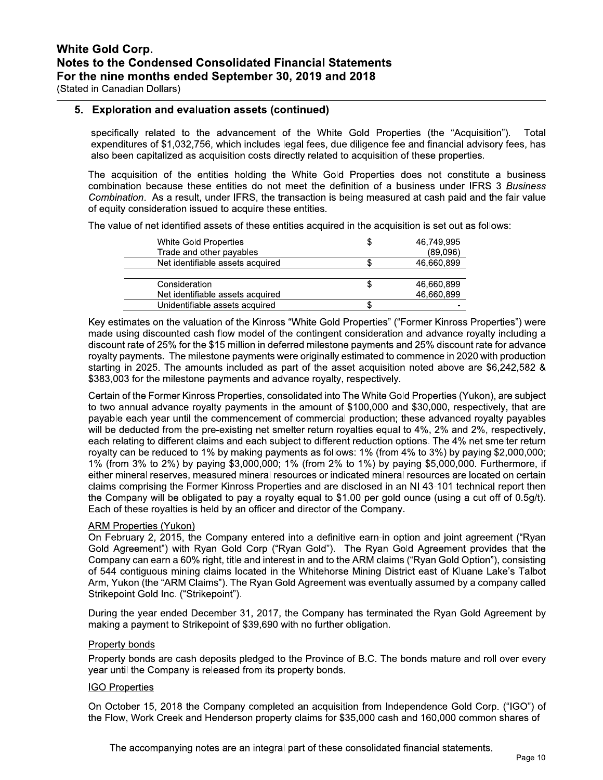## 5. Exploration and evaluation assets (continued)

specifically related to the advancement of the White Gold Properties (the "Acquisition"). Total expenditures of \$1,032,756, which includes legal fees, due diligence fee and financial advisory fees, has also been capitalized as acquisition costs directly related to acquisition of these properties.

The acquisition of the entities holding the White Gold Properties does not constitute a business combination because these entities do not meet the definition of a business under IFRS 3 Business Combination. As a result, under IFRS, the transaction is being measured at cash paid and the fair value of equity consideration issued to acquire these entities.

The value of net identified assets of these entities acquired in the acquisition is set out as follows:

| White Gold Properties            | 46.749.995 |
|----------------------------------|------------|
| Trade and other payables         | (89,096)   |
| Net identifiable assets acquired | 46,660,899 |
|                                  |            |
| Consideration                    | 46,660,899 |
| Net identifiable assets acquired | 46,660,899 |
| Unidentifiable assets acquired   |            |

Key estimates on the valuation of the Kinross "White Gold Properties" ("Former Kinross Properties") were made using discounted cash flow model of the contingent consideration and advance royalty including a discount rate of 25% for the \$15 million in deferred milestone payments and 25% discount rate for advance royalty payments. The milestone payments were originally estimated to commence in 2020 with production starting in 2025. The amounts included as part of the asset acquisition noted above are \$6,242,582 & \$383,003 for the milestone payments and advance royalty, respectively.

Certain of the Former Kinross Properties, consolidated into The White Gold Properties (Yukon), are subject to two annual advance royalty payments in the amount of \$100,000 and \$30,000, respectively, that are payable each year until the commencement of commercial production; these advanced royalty payables will be deducted from the pre-existing net smelter return royalties equal to 4%, 2% and 2%, respectively, each relating to different claims and each subject to different reduction options. The 4% net smelter return royalty can be reduced to 1% by making payments as follows: 1% (from 4% to 3%) by paying \$2,000,000; 1% (from 3% to 2%) by paying \$3,000,000; 1% (from 2% to 1%) by paying \$5,000,000. Furthermore, if either mineral reserves, measured mineral resources or indicated mineral resources are located on certain claims comprising the Former Kinross Properties and are disclosed in an NI 43-101 technical report then the Company will be obligated to pay a royalty equal to \$1.00 per gold ounce (using a cut off of 0.5g/t). Each of these royalties is held by an officer and director of the Company.

### **ARM Properties (Yukon)**

On February 2, 2015, the Company entered into a definitive earn-in option and joint agreement ("Ryan Gold Agreement") with Ryan Gold Corp ("Ryan Gold"). The Ryan Gold Agreement provides that the Company can earn a 60% right, title and interest in and to the ARM claims ("Ryan Gold Option"), consisting of 544 contiguous mining claims located in the Whitehorse Mining District east of Kluane Lake's Talbot Arm, Yukon (the "ARM Claims"). The Ryan Gold Agreement was eventually assumed by a company called Strikepoint Gold Inc. ("Strikepoint").

During the year ended December 31, 2017, the Company has terminated the Ryan Gold Agreement by making a payment to Strikepoint of \$39,690 with no further obligation.

### Property bonds

Property bonds are cash deposits pledged to the Province of B.C. The bonds mature and roll over every year until the Company is released from its property bonds.

### **IGO Properties**

On October 15, 2018 the Company completed an acquisition from Independence Gold Corp. ("IGO") of the Flow, Work Creek and Henderson property claims for \$35,000 cash and 160,000 common shares of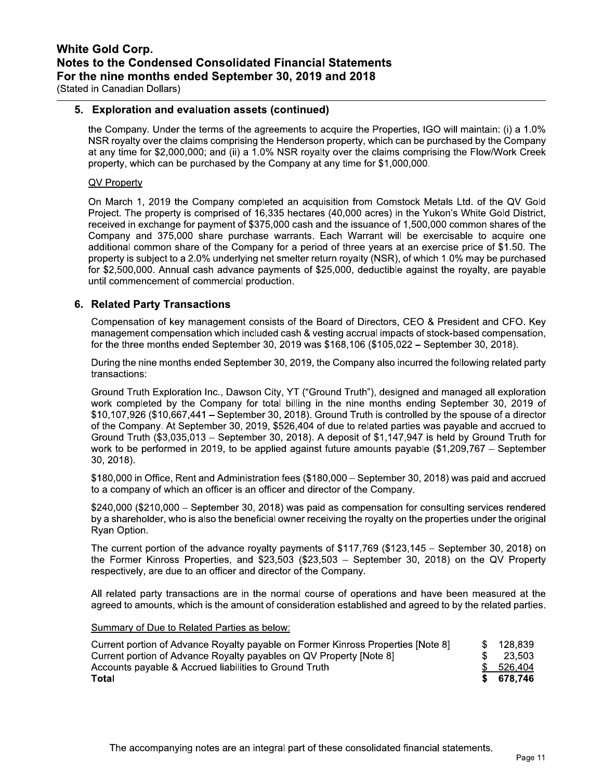# 5. Exploration and evaluation assets (continued)

the Company. Under the terms of the agreements to acquire the Properties, IGO will maintain: (i) a 1.0% NSR royalty over the claims comprising the Henderson property, which can be purchased by the Company at any time for \$2,000,000; and (ii) a 1.0% NSR royalty over the claims comprising the Flow/Work Creek property, which can be purchased by the Company at any time for \$1,000,000.

### QV Property

On March 1, 2019 the Company completed an acquisition from Comstock Metals Ltd. of the QV Gold Project. The property is comprised of 16,335 hectares (40,000 acres) in the Yukon's White Gold District, received in exchange for payment of \$375,000 cash and the issuance of 1,500,000 common shares of the Company and 375,000 share purchase warrants. Each Warrant will be exercisable to acquire one additional common share of the Company for a period of three vears at an exercise price of \$1.50. The property is subject to a 2.0% underlying net smelter return royalty (NSR), of which 1.0% may be purchased for \$2,500,000. Annual cash advance payments of \$25,000, deductible against the royalty, are payable until commencement of commercial production.

# 6. Related Party Transactions

Compensation of key management consists of the Board of Directors, CEO & President and CFO. Key management compensation which included cash & vesting accrual impacts of stock-based compensation. for the three months ended September 30, 2019 was  $$168,106 ($105,022 - September 30, 2018)$ .

During the nine months ended September 30, 2019, the Company also incurred the following related party transactions:

Ground Truth Exploration Inc., Dawson City, YT ("Ground Truth"), designed and managed all exploration work completed by the Company for total billing in the nine months ending September 30, 2019 of  $$10,107,926$  (\$10,667,441 – September 30, 2018). Ground Truth is controlled by the spouse of a director of the Company. At September 30, 2019, \$526,404 of due to related parties was payable and accrued to Ground Truth  $(\$3,035,013 - September 30, 2018)$ . A deposit of  $\$1,147,947$  is held by Ground Truth for work to be performed in 2019, to be applied against future amounts payable  $(\$1,209,767 - September$ 30, 2018).

\$180,000 in Office, Rent and Administration fees (\$180,000 – September 30, 2018) was paid and accrued to a company of which an officer is an officer and director of the Company.

\$240,000 (\$210,000 – September 30, 2018) was paid as compensation for consulting services rendered by a shareholder, who is also the beneficial owner receiving the royalty on the properties under the original Ryan Option.

The current portion of the advance royalty payments of  $$117,769$  (\$123,145 - September 30, 2018) on the Former Kinross Properties, and \$23,503 (\$23,503 - September 30, 2018) on the QV Property respectively, are due to an officer and director of the Company.

All related party transactions are in the normal course of operations and have been measured at the agreed to amounts, which is the amount of consideration established and agreed to by the related parties.

#### Summary of Due to Related Parties as below:

| Current portion of Advance Royalty payable on Former Kinross Properties [Note 8] | \$128.839  |
|----------------------------------------------------------------------------------|------------|
| Current portion of Advance Royalty payables on QV Property [Note 8]              | 23.503     |
| Accounts payable & Accrued liabilities to Ground Truth                           | \$526,404  |
| Total                                                                            | \$ 678.746 |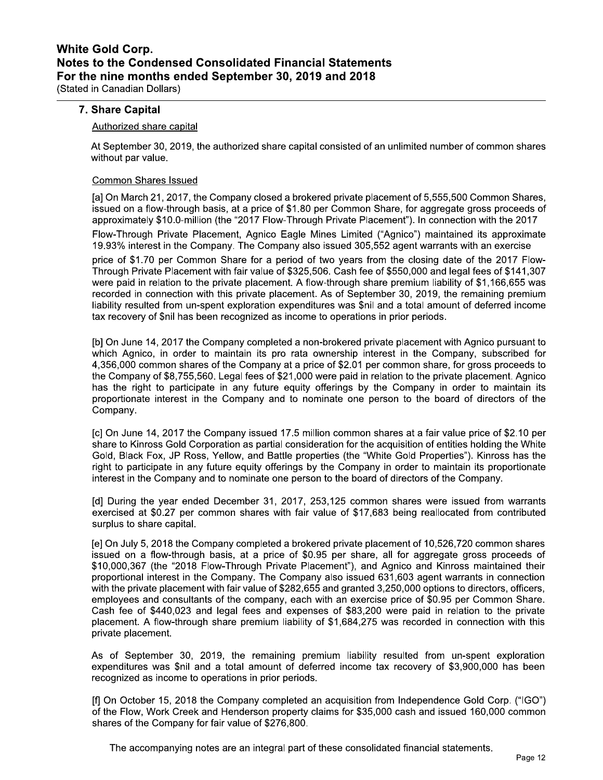## 7. Share Capital

#### Authorized share capital

At September 30, 2019, the authorized share capital consisted of an unlimited number of common shares without par value.

#### **Common Shares Issued**

[a] On March 21, 2017, the Company closed a brokered private placement of 5,555,500 Common Shares, issued on a flow-through basis, at a price of \$1.80 per Common Share, for aggregate gross proceeds of approximately \$10.0-million (the "2017 Flow-Through Private Placement"). In connection with the 2017

Flow-Through Private Placement, Agnico Eagle Mines Limited ("Agnico") maintained its approximate 19.93% interest in the Company. The Company also issued 305,552 agent warrants with an exercise

price of \$1.70 per Common Share for a period of two years from the closing date of the 2017 Flow-Through Private Placement with fair value of \$325,506. Cash fee of \$550,000 and legal fees of \$141,307 were paid in relation to the private placement. A flow-through share premium liability of \$1,166,655 was recorded in connection with this private placement. As of September 30, 2019, the remaining premium liability resulted from un-spent exploration expenditures was \$nil and a total amount of deferred income tax recovery of \$nil has been recognized as income to operations in prior periods.

[b] On June 14, 2017 the Company completed a non-brokered private placement with Agnico pursuant to which Agnico, in order to maintain its pro rata ownership interest in the Company, subscribed for 4,356,000 common shares of the Company at a price of \$2.01 per common share, for gross proceeds to the Company of \$8,755,560. Legal fees of \$21,000 were paid in relation to the private placement. Agnico has the right to participate in any future equity offerings by the Company in order to maintain its proportionate interest in the Company and to nominate one person to the board of directors of the Company.

[c] On June 14, 2017 the Company issued 17.5 million common shares at a fair value price of \$2.10 per share to Kinross Gold Corporation as partial consideration for the acquisition of entities holding the White Gold, Black Fox, JP Ross, Yellow, and Battle properties (the "White Gold Properties"). Kinross has the right to participate in any future equity offerings by the Company in order to maintain its proportionate interest in the Company and to nominate one person to the board of directors of the Company.

[d] During the year ended December 31, 2017, 253,125 common shares were issued from warrants exercised at \$0.27 per common shares with fair value of \$17,683 being reallocated from contributed surplus to share capital.

[e] On July 5, 2018 the Company completed a brokered private placement of 10,526,720 common shares issued on a flow-through basis, at a price of \$0.95 per share, all for aggregate gross proceeds of \$10,000,367 (the "2018 Flow-Through Private Placement"), and Agnico and Kinross maintained their proportional interest in the Company. The Company also issued 631,603 agent warrants in connection with the private placement with fair value of \$282,655 and granted 3,250,000 options to directors, officers, employees and consultants of the company, each with an exercise price of \$0.95 per Common Share. Cash fee of \$440,023 and legal fees and expenses of \$83,200 were paid in relation to the private placement. A flow-through share premium liability of \$1,684,275 was recorded in connection with this private placement.

As of September 30, 2019, the remaining premium liability resulted from un-spent exploration expenditures was \$nil and a total amount of deferred income tax recovery of \$3,900,000 has been recognized as income to operations in prior periods.

[f] On October 15, 2018 the Company completed an acquisition from Independence Gold Corp. ("IGO") of the Flow, Work Creek and Henderson property claims for \$35,000 cash and issued 160,000 common shares of the Company for fair value of \$276,800.

The accompanying notes are an integral part of these consolidated financial statements.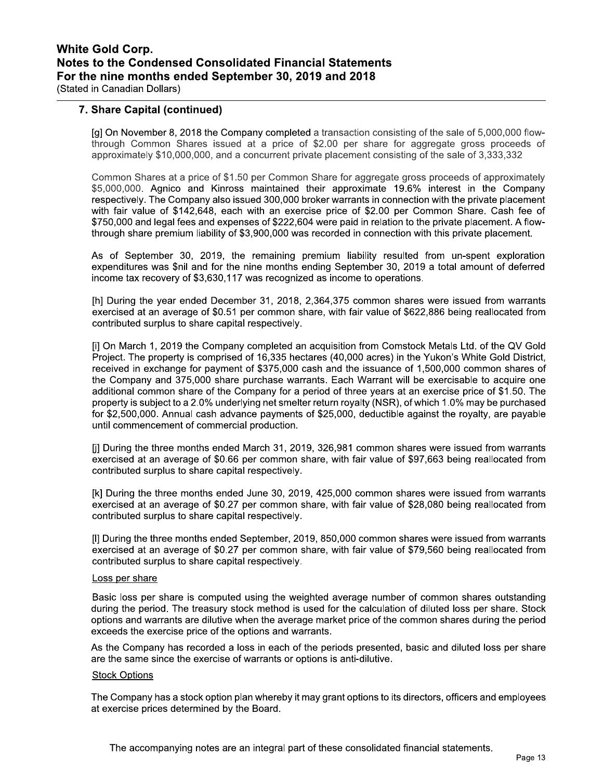# 7. Share Capital (continued)

[g] On November 8, 2018 the Company completed a transaction consisting of the sale of 5,000,000 flowthrough Common Shares issued at a price of \$2.00 per share for aggregate gross proceeds of approximately \$10,000,000, and a concurrent private placement consisting of the sale of 3,333,332

Common Shares at a price of \$1.50 per Common Share for aggregate gross proceeds of approximately \$5,000,000. Agnico and Kinross maintained their approximate 19.6% interest in the Company respectively. The Company also issued 300,000 broker warrants in connection with the private placement with fair value of \$142,648, each with an exercise price of \$2.00 per Common Share. Cash fee of \$750,000 and legal fees and expenses of \$222,604 were paid in relation to the private placement. A flowthrough share premium liability of \$3,900,000 was recorded in connection with this private placement.

As of September 30, 2019, the remaining premium liability resulted from un-spent exploration expenditures was \$nil and for the nine months ending September 30, 2019 a total amount of deferred income tax recovery of \$3,630,117 was recognized as income to operations.

[h] During the year ended December 31, 2018, 2,364,375 common shares were issued from warrants exercised at an average of \$0.51 per common share, with fair value of \$622,886 being reallocated from contributed surplus to share capital respectively.

[i] On March 1, 2019 the Company completed an acquisition from Comstock Metals Ltd. of the QV Gold Project. The property is comprised of 16,335 hectares (40,000 acres) in the Yukon's White Gold District, received in exchange for payment of \$375,000 cash and the issuance of 1,500,000 common shares of the Company and 375,000 share purchase warrants. Each Warrant will be exercisable to acquire one additional common share of the Company for a period of three years at an exercise price of \$1.50. The property is subject to a 2.0% underlying net smelter return royalty (NSR), of which 1.0% may be purchased for \$2,500,000. Annual cash advance payments of \$25,000, deductible against the royalty, are payable until commencement of commercial production.

[j] During the three months ended March 31, 2019, 326,981 common shares were issued from warrants exercised at an average of \$0.66 per common share, with fair value of \$97,663 being reallocated from contributed surplus to share capital respectively.

[k] During the three months ended June 30, 2019, 425,000 common shares were issued from warrants exercised at an average of \$0.27 per common share, with fair value of \$28,080 being reallocated from contributed surplus to share capital respectively.

[I] During the three months ended September, 2019, 850,000 common shares were issued from warrants exercised at an average of \$0.27 per common share, with fair value of \$79,560 being reallocated from contributed surplus to share capital respectively.

#### Loss per share

Basic loss per share is computed using the weighted average number of common shares outstanding during the period. The treasury stock method is used for the calculation of diluted loss per share. Stock options and warrants are dilutive when the average market price of the common shares during the period exceeds the exercise price of the options and warrants.

As the Company has recorded a loss in each of the periods presented, basic and diluted loss per share are the same since the exercise of warrants or options is anti-dilutive.

#### **Stock Options**

The Company has a stock option plan whereby it may grant options to its directors, officers and employees at exercise prices determined by the Board.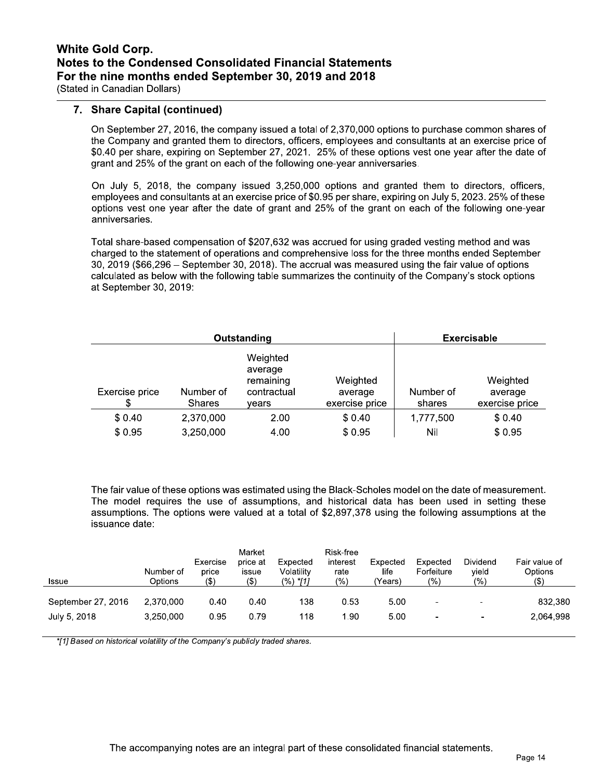# 7. Share Capital (continued)

On September 27, 2016, the company issued a total of 2,370,000 options to purchase common shares of the Company and granted them to directors, officers, employees and consultants at an exercise price of \$0.40 per share, expiring on September 27, 2021. 25% of these options vest one year after the date of grant and 25% of the grant on each of the following one-year anniversaries.

On July 5, 2018, the company issued 3,250,000 options and granted them to directors, officers, employees and consultants at an exercise price of \$0.95 per share, expiring on July 5, 2023. 25% of these options vest one year after the date of grant and 25% of the grant on each of the following one-year anniversaries.

Total share-based compensation of \$207,632 was accrued for using graded vesting method and was charged to the statement of operations and comprehensive loss for the three months ended September 30, 2019 (\$66,296 – September 30, 2018). The accrual was measured using the fair value of options calculated as below with the following table summarizes the continuity of the Company's stock options at September 30, 2019:

| Outstanding    |                            |                                                          |                                       |                     | <b>Exercisable</b>                    |
|----------------|----------------------------|----------------------------------------------------------|---------------------------------------|---------------------|---------------------------------------|
| Exercise price | Number of<br><b>Shares</b> | Weighted<br>average<br>remaining<br>contractual<br>vears | Weighted<br>average<br>exercise price | Number of<br>shares | Weighted<br>average<br>exercise price |
| \$0.40         | 2,370,000                  | 2.00                                                     | \$0.40                                | 1,777,500           | \$0.40                                |
| \$0.95         | 3,250,000                  | 4.00                                                     | \$0.95                                | Nil                 | \$0.95                                |

The fair value of these options was estimated using the Black-Scholes model on the date of measurement. The model requires the use of assumptions, and historical data has been used in setting these assumptions. The options were valued at a total of \$2,897,378 using the following assumptions at the issuance date:

| Issue              | Number of<br>Options | Exercise<br>price<br>$($ \$) | Market<br>price at<br>issue<br>(\$) | Expected<br>Volatility<br>$(%)$ *[1] | Risk-free<br>interest<br>rate<br>(%) | Expected<br>life<br>(Years) | Expected<br>Forfeiture<br>$\frac{1}{2}$ | Dividend<br>yield<br>(9) | Fair value of<br>Options<br>(\$) |
|--------------------|----------------------|------------------------------|-------------------------------------|--------------------------------------|--------------------------------------|-----------------------------|-----------------------------------------|--------------------------|----------------------------------|
| September 27, 2016 | 2.370.000            | 0.40                         | 0.40                                | 138                                  | 0.53                                 | 5.00                        | $\blacksquare$                          | -                        | 832,380                          |
| July 5, 2018       | 3.250.000            | 0.95                         | 0.79                                | 118                                  | 1.90                                 | 5.00                        | ٠                                       | $\overline{\phantom{0}}$ | 2.064.998                        |

\*[1] Based on historical volatility of the Company's publicly traded shares.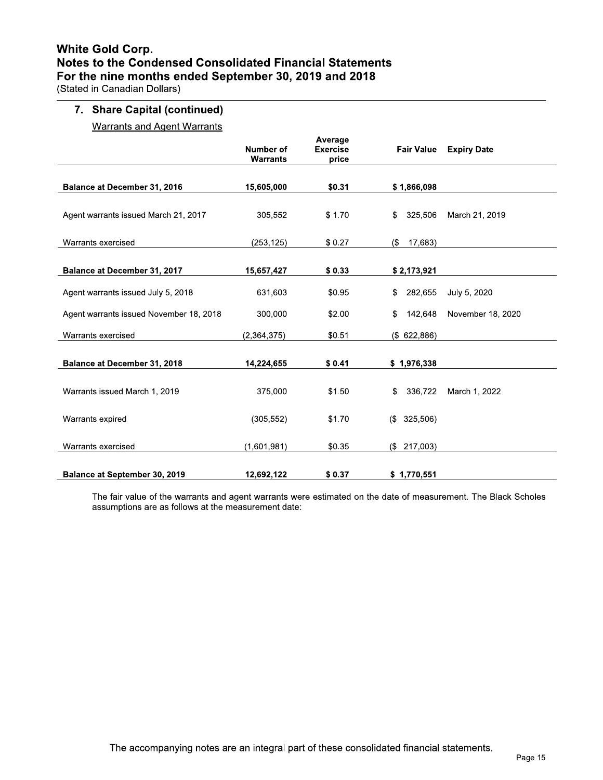# **White Gold Corp.** Notes to the Condensed Consolidated Financial Statements For the nine months ended September 30, 2019 and 2018

(Stated in Canadian Dollars)

# 7. Share Capital (continued)

**Warrants and Agent Warrants** 

|                                         | <b>Number of</b><br><b>Warrants</b>                                                                                                                                                                           | Average<br><b>Exercise</b><br>price | <b>Fair Value</b> | <b>Expiry Date</b> |
|-----------------------------------------|---------------------------------------------------------------------------------------------------------------------------------------------------------------------------------------------------------------|-------------------------------------|-------------------|--------------------|
| Balance at December 31, 2016            | 15,605,000                                                                                                                                                                                                    | \$0.31                              | \$1,866,098       |                    |
| Agent warrants issued March 21, 2017    | 305,552                                                                                                                                                                                                       | \$1.70                              | 325,506<br>\$     | March 21, 2019     |
| Warrants exercised                      | (253, 125)<br>\$0.27<br>15,657,427<br>\$0.33<br>631,603<br>\$0.95<br>300,000<br>\$2.00<br>(2,364,375)<br>\$0.51<br>\$0.41<br>14,224,655<br>375,000<br>\$1.50<br>(305, 552)<br>\$1.70<br>\$0.35<br>(1,601,981) |                                     | 17,683)<br>(\$    |                    |
| <b>Balance at December 31, 2017</b>     |                                                                                                                                                                                                               |                                     | \$2,173,921       |                    |
| Agent warrants issued July 5, 2018      |                                                                                                                                                                                                               |                                     | \$<br>282,655     | July 5, 2020       |
| Agent warrants issued November 18, 2018 |                                                                                                                                                                                                               |                                     | \$<br>142.648     | November 18, 2020  |
| Warrants exercised                      |                                                                                                                                                                                                               |                                     | (\$622,886)       |                    |
| <b>Balance at December 31, 2018</b>     |                                                                                                                                                                                                               |                                     | \$1,976,338       |                    |
| Warrants issued March 1, 2019           |                                                                                                                                                                                                               |                                     | \$<br>336,722     | March 1, 2022      |
| Warrants expired                        |                                                                                                                                                                                                               |                                     | 325,506)<br>(     |                    |
| Warrants exercised                      |                                                                                                                                                                                                               |                                     | (\$217,003)       |                    |
| <b>Balance at September 30, 2019</b>    | 12,692,122                                                                                                                                                                                                    | \$0.37                              | \$1,770,551       |                    |

The fair value of the warrants and agent warrants were estimated on the date of measurement. The Black Scholes assumptions are as follows at the measurement date: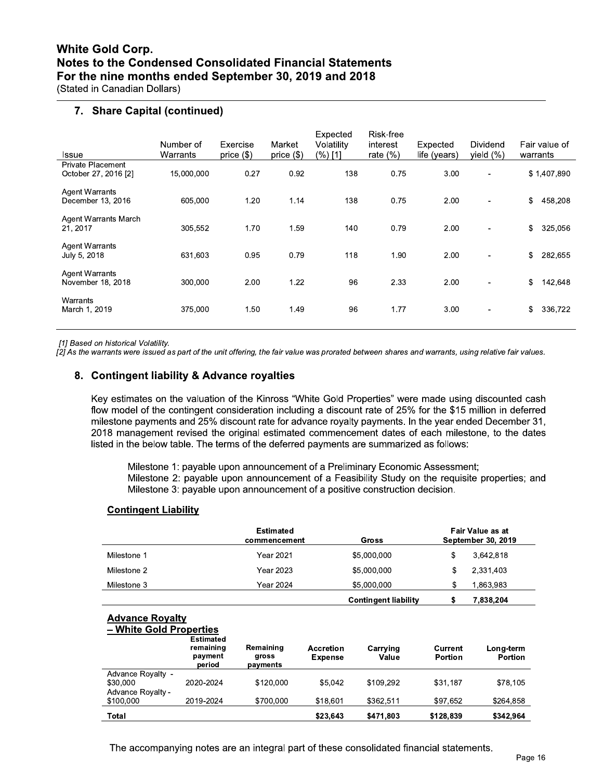# 7. Share Capital (continued)

| Issue                                      | Number of<br>Warrants | Exercise<br>price $(\$)$ | Market<br>price $(\$)$ | Expected<br>Volatility<br>(%) [1] | Risk-free<br>interest<br>rate $(\%)$ | Expected<br>life (years) | <b>Dividend</b><br>yield $(\%)$ | Fair value of<br>warrants |
|--------------------------------------------|-----------------------|--------------------------|------------------------|-----------------------------------|--------------------------------------|--------------------------|---------------------------------|---------------------------|
| Private Placement<br>October 27, 2016 [2]  | 15,000,000            | 0.27                     | 0.92                   | 138                               | 0.75                                 | 3.00                     | $\overline{\phantom{0}}$        | \$1,407,890               |
| <b>Agent Warrants</b><br>December 13, 2016 | 605,000               | 1.20                     | 1.14                   | 138                               | 0.75                                 | 2.00                     |                                 | \$<br>458,208             |
| <b>Agent Warrants March</b><br>21, 2017    | 305,552               | 1.70                     | 1.59                   | 140                               | 0.79                                 | 2.00                     | $\overline{\phantom{0}}$        | \$<br>325,056             |
| <b>Agent Warrants</b><br>July 5, 2018      | 631.603               | 0.95                     | 0.79                   | 118                               | 1.90                                 | 2.00                     | $\qquad \qquad \blacksquare$    | \$<br>282,655             |
| <b>Agent Warrants</b><br>November 18, 2018 | 300,000               | 2.00                     | 1.22                   | 96                                | 2.33                                 | 2.00                     | $\blacksquare$                  | \$<br>142,648             |
| Warrants<br>March 1, 2019                  | 375,000               | 1.50                     | 1.49                   | 96                                | 1.77                                 | 3.00                     | $\overline{\phantom{0}}$        | \$<br>336,722             |

[1] Based on historical Volatility.

[2] As the warrants were issued as part of the unit offering, the fair value was prorated between shares and warrants, using relative fair values.

# 8. Contingent liability & Advance royalties

Key estimates on the valuation of the Kinross "White Gold Properties" were made using discounted cash flow model of the contingent consideration including a discount rate of 25% for the \$15 million in deferred milestone payments and 25% discount rate for advance royalty payments. In the year ended December 31, 2018 management revised the original estimated commencement dates of each milestone, to the dates listed in the below table. The terms of the deferred payments are summarized as follows:

Milestone 1: payable upon announcement of a Preliminary Economic Assessment; Milestone 2: payable upon announcement of a Feasibility Study on the requisite properties; and Milestone 3: payable upon announcement of a positive construction decision.

**Contingent liability** 

 $\mathsf{s}$ 

7,838,204

### **Contingent Liability**

|             | Estimated<br>commencement | Gross       | Fair Value as at<br><b>September 30, 2019</b> |  |  |
|-------------|---------------------------|-------------|-----------------------------------------------|--|--|
| Milestone 1 | Year 2021                 | \$5,000,000 | \$<br>3.642.818                               |  |  |
| Milestone 2 | Year 2023                 | \$5,000,000 | S<br>2.331.403                                |  |  |
| Milestone 3 | Year 2024                 | \$5,000,000 | S<br>.863.983                                 |  |  |

### **Advance Royalty**

### - White Gold Properties

|                   | <b>Estimated</b><br>remaining<br>payment<br>period | Remaining<br>gross<br>payments | <b>Accretion</b><br><b>Expense</b> | Carrying<br>Value | Current<br>Portion | Long-term<br><b>Portion</b> |
|-------------------|----------------------------------------------------|--------------------------------|------------------------------------|-------------------|--------------------|-----------------------------|
| Advance Royalty - |                                                    |                                |                                    |                   |                    |                             |
| \$30,000          | 2020-2024                                          | \$120,000                      | \$5,042                            | \$109,292         | \$31,187           | \$78,105                    |
| Advance Royalty - |                                                    |                                |                                    |                   |                    |                             |
| \$100,000         | 2019-2024                                          | \$700,000                      | \$18,601                           | \$362.511         | \$97.652           | \$264,858                   |
| Total             |                                                    |                                | \$23,643                           | \$471,803         | \$128,839          | \$342,964                   |

The accompanying notes are an integral part of these consolidated financial statements.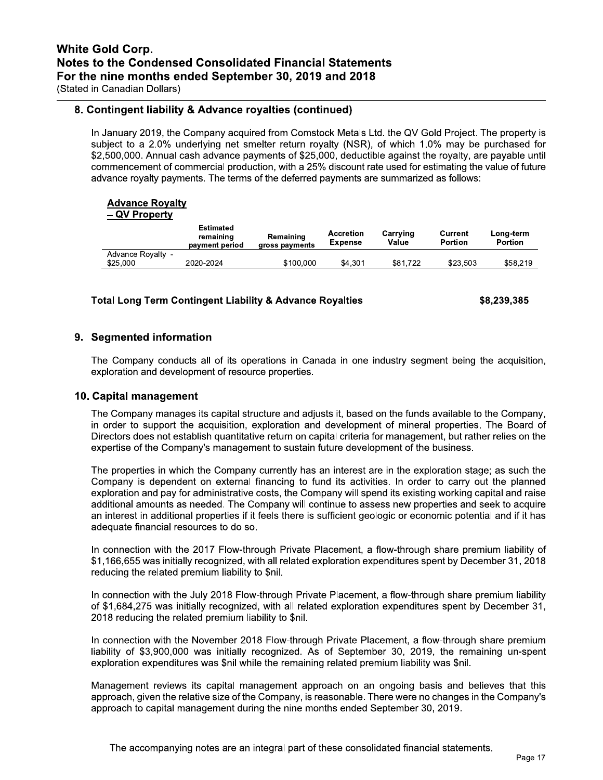# 8. Contingent liability & Advance royalties (continued)

In January 2019, the Company acquired from Comstock Metals Ltd. the QV Gold Project. The property is subject to a 2.0% underlying net smelter return royalty (NSR), of which 1.0% may be purchased for \$2,500,000. Annual cash advance payments of \$25,000, deductible against the royalty, are payable until commencement of commercial production, with a 25% discount rate used for estimating the value of future advance royalty payments. The terms of the deferred payments are summarized as follows:

#### **Advance Royalty** <u>ty</u>

|  | <b>QV Propert</b> |  |  |  |
|--|-------------------|--|--|--|
|  |                   |  |  |  |

|                               | Estimated<br>remaining<br>payment period | Remaining<br>gross payments | <b>Accretion</b><br><b>Expense</b> | Carrying<br>Value | Current<br>Portion | Long-term<br>Portion |
|-------------------------------|------------------------------------------|-----------------------------|------------------------------------|-------------------|--------------------|----------------------|
| Advance Royalty -<br>\$25,000 | 2020-2024                                | \$100,000                   | \$4.301                            | \$81.722          | \$23.503           | \$58,219             |

### **Total Long Term Contingent Liability & Advance Royalties**

\$8,239,385

# 9. Segmented information

The Company conducts all of its operations in Canada in one industry segment being the acquisition, exploration and development of resource properties.

### 10. Capital management

The Company manages its capital structure and adjusts it, based on the funds available to the Company, in order to support the acquisition, exploration and development of mineral properties. The Board of Directors does not establish quantitative return on capital criteria for management, but rather relies on the expertise of the Company's management to sustain future development of the business.

The properties in which the Company currently has an interest are in the exploration stage; as such the Company is dependent on external financing to fund its activities. In order to carry out the planned exploration and pay for administrative costs, the Company will spend its existing working capital and raise additional amounts as needed. The Company will continue to assess new properties and seek to acquire an interest in additional properties if it feels there is sufficient geologic or economic potential and if it has adequate financial resources to do so.

In connection with the 2017 Flow-through Private Placement, a flow-through share premium liability of \$1,166,655 was initially recognized, with all related exploration expenditures spent by December 31, 2018 reducing the related premium liability to \$nil.

In connection with the July 2018 Flow-through Private Placement, a flow-through share premium liability of \$1,684,275 was initially recognized, with all related exploration expenditures spent by December 31, 2018 reducing the related premium liability to \$nil.

In connection with the November 2018 Flow-through Private Placement, a flow-through share premium liability of \$3,900,000 was initially recognized. As of September 30, 2019, the remaining un-spent exploration expenditures was \$nil while the remaining related premium liability was \$nil.

Management reviews its capital management approach on an ongoing basis and believes that this approach, given the relative size of the Company, is reasonable. There were no changes in the Company's approach to capital management during the nine months ended September 30, 2019.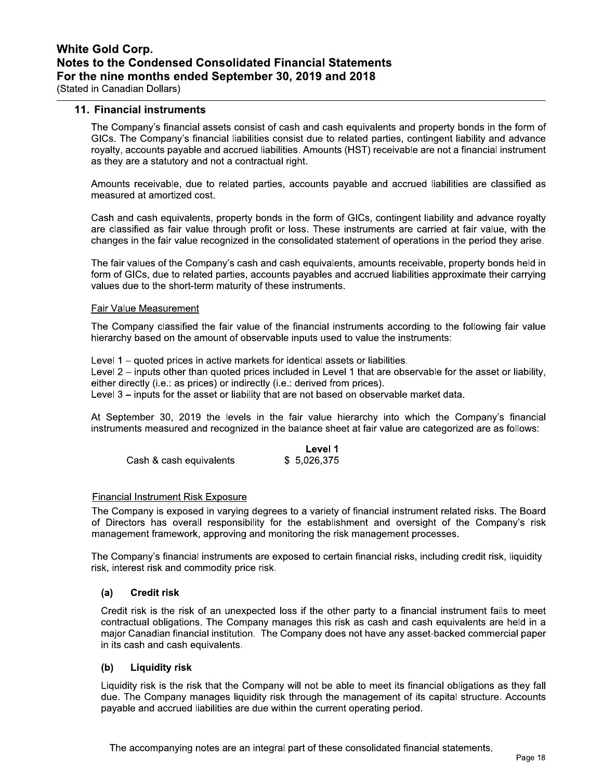### 11. Financial instruments

The Company's financial assets consist of cash and cash equivalents and property bonds in the form of GICs. The Company's financial liabilities consist due to related parties, contingent liability and advance royalty, accounts payable and accrued liabilities. Amounts (HST) receivable are not a financial instrument as they are a statutory and not a contractual right.

Amounts receivable, due to related parties, accounts payable and accrued liabilities are classified as measured at amortized cost.

Cash and cash equivalents, property bonds in the form of GICs, contingent liability and advance royalty are classified as fair value through profit or loss. These instruments are carried at fair value, with the changes in the fair value recognized in the consolidated statement of operations in the period they arise.

The fair values of the Company's cash and cash equivalents, amounts receivable, property bonds held in form of GICs, due to related parties, accounts payables and accrued liabilities approximate their carrying values due to the short-term maturity of these instruments.

#### **Fair Value Measurement**

The Company classified the fair value of the financial instruments according to the following fair value hierarchy based on the amount of observable inputs used to value the instruments:

Level 1 – quoted prices in active markets for identical assets or liabilities. Level 2 – inputs other than quoted prices included in Level 1 that are observable for the asset or liability. either directly (i.e.: as prices) or indirectly (i.e.: derived from prices). Level 3 - inputs for the asset or liability that are not based on observable market data.

At September 30, 2019 the levels in the fair value hierarchy into which the Company's financial instruments measured and recognized in the balance sheet at fair value are categorized are as follows:

|                         | Level 1     |
|-------------------------|-------------|
| Cash & cash equivalents | \$5,026,375 |

### **Financial Instrument Risk Exposure**

The Company is exposed in varying degrees to a variety of financial instrument related risks. The Board of Directors has overall responsibility for the establishment and oversight of the Company's risk management framework, approving and monitoring the risk management processes.

The Company's financial instruments are exposed to certain financial risks, including credit risk, liquidity risk, interest risk and commodity price risk.

#### $(a)$ **Credit risk**

Credit risk is the risk of an unexpected loss if the other party to a financial instrument fails to meet contractual obligations. The Company manages this risk as cash and cash equivalents are held in a major Canadian financial institution. The Company does not have any asset-backed commercial paper in its cash and cash equivalents.

#### **Liquidity risk**  $(b)$

Liquidity risk is the risk that the Company will not be able to meet its financial obligations as they fall due. The Company manages liquidity risk through the management of its capital structure. Accounts payable and accrued liabilities are due within the current operating period.